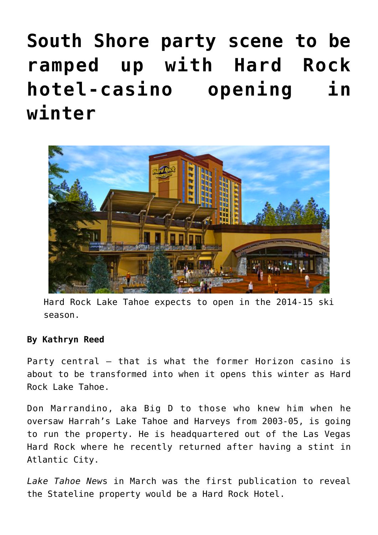## **[South Shore party scene to be](https://www.laketahoenews.net/2014/07/south-shore-party-scene-to-be-ramped-up-with-hard-rock-hotel-casino-opening-in-winter/) [ramped up with Hard Rock](https://www.laketahoenews.net/2014/07/south-shore-party-scene-to-be-ramped-up-with-hard-rock-hotel-casino-opening-in-winter/) [hotel-casino opening in](https://www.laketahoenews.net/2014/07/south-shore-party-scene-to-be-ramped-up-with-hard-rock-hotel-casino-opening-in-winter/) [winter](https://www.laketahoenews.net/2014/07/south-shore-party-scene-to-be-ramped-up-with-hard-rock-hotel-casino-opening-in-winter/)**



Hard Rock Lake Tahoe expects to open in the 2014-15 ski season.

## **By Kathryn Reed**

Party central – that is what the former Horizon casino is about to be transformed into when it opens this winter as Hard Rock Lake Tahoe.

Don Marrandino, aka Big D to those who knew him when he oversaw Harrah's Lake Tahoe and Harveys from 2003-05, is going to run the property. He is headquartered out of the Las Vegas Hard Rock where he recently returned after having a stint in Atlantic City.

*[Lake Tahoe New](https://www.laketahoenews.net/2014/03/horizon-hotel-casino-reincarnated/)*s in March was the first publication to reveal the Stateline property would be a Hard Rock Hotel.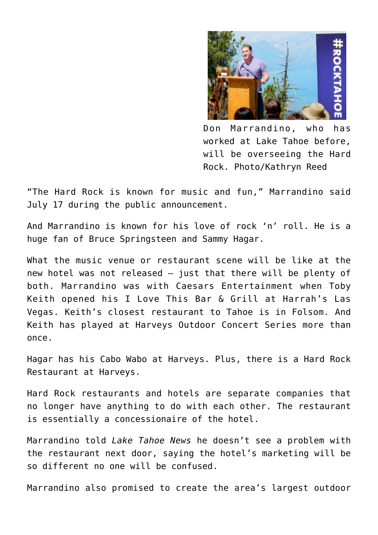

Don Marrandino, who has worked at Lake Tahoe before, will be overseeing the Hard Rock. Photo/Kathryn Reed

"The Hard Rock is known for music and fun," Marrandino said July 17 during the public announcement.

And Marrandino is known for his love of rock 'n' roll. He is a huge fan of Bruce Springsteen and Sammy Hagar.

What the music venue or restaurant scene will be like at the new hotel was not released – just that there will be plenty of both. Marrandino was with Caesars Entertainment when Toby Keith opened his I Love This Bar & Grill at Harrah's Las Vegas. Keith's closest restaurant to Tahoe is in Folsom. And Keith has played at Harveys Outdoor Concert Series more than once.

Hagar has his Cabo Wabo at Harveys. Plus, there is a Hard Rock Restaurant at Harveys.

Hard Rock restaurants and hotels are separate companies that no longer have anything to do with each other. The restaurant is essentially a concessionaire of the hotel.

Marrandino told *Lake Tahoe News* he doesn't see a problem with the restaurant next door, saying the hotel's marketing will be so different no one will be confused.

Marrandino also promised to create the area's largest outdoor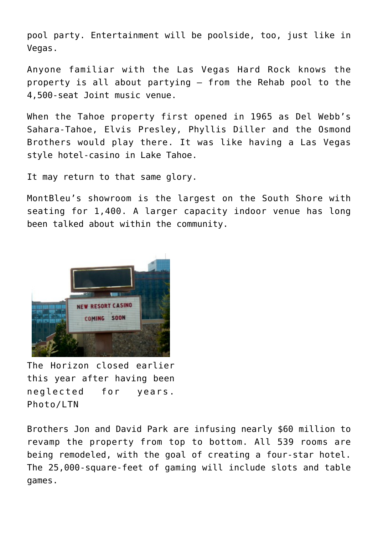pool party. Entertainment will be poolside, too, just like in Vegas.

Anyone familiar with the Las Vegas Hard Rock knows the property is all about partying – from the Rehab pool to the 4,500-seat Joint music venue.

When the Tahoe property first opened in 1965 as Del Webb's Sahara-Tahoe, Elvis Presley, Phyllis Diller and the Osmond Brothers would play there. It was like having a Las Vegas style hotel-casino in Lake Tahoe.

It may return to that same glory.

MontBleu's showroom is the largest on the South Shore with seating for 1,400. A larger capacity indoor venue has long been talked about within the community.



The Horizon closed earlier this year after having been neglected for years. Photo/LTN

Brothers Jon and David Park are infusing nearly \$60 million to revamp the property from top to bottom. All 539 rooms are being remodeled, with the goal of creating a four-star hotel. The 25,000-square-feet of gaming will include slots and table games.